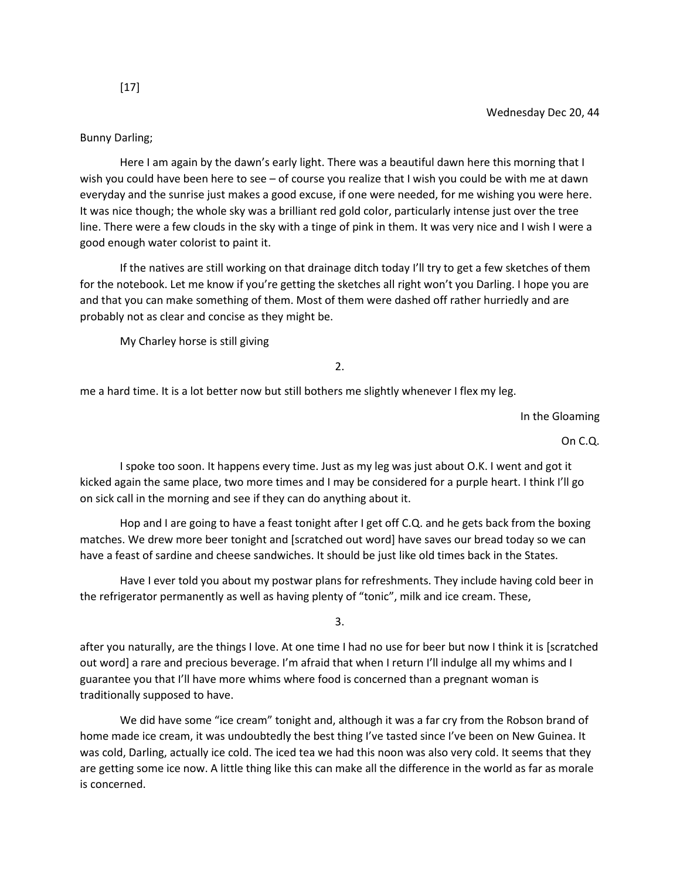## Bunny Darling;

Here I am again by the dawn's early light. There was a beautiful dawn here this morning that I wish you could have been here to see – of course you realize that I wish you could be with me at dawn everyday and the sunrise just makes a good excuse, if one were needed, for me wishing you were here. It was nice though; the whole sky was a brilliant red gold color, particularly intense just over the tree line. There were a few clouds in the sky with a tinge of pink in them. It was very nice and I wish I were a good enough water colorist to paint it.

If the natives are still working on that drainage ditch today I'll try to get a few sketches of them for the notebook. Let me know if you're getting the sketches all right won't you Darling. I hope you are and that you can make something of them. Most of them were dashed off rather hurriedly and are probably not as clear and concise as they might be.

My Charley horse is still giving

2.

me a hard time. It is a lot better now but still bothers me slightly whenever I flex my leg.

In the Gloaming

On C.Q.

I spoke too soon. It happens every time. Just as my leg was just about O.K. I went and got it kicked again the same place, two more times and I may be considered for a purple heart. I think I'll go on sick call in the morning and see if they can do anything about it.

Hop and I are going to have a feast tonight after I get off C.Q. and he gets back from the boxing matches. We drew more beer tonight and [scratched out word] have saves our bread today so we can have a feast of sardine and cheese sandwiches. It should be just like old times back in the States.

Have I ever told you about my postwar plans for refreshments. They include having cold beer in the refrigerator permanently as well as having plenty of "tonic", milk and ice cream. These,

3.

after you naturally, are the things I love. At one time I had no use for beer but now I think it is [scratched out word] a rare and precious beverage. I'm afraid that when I return I'll indulge all my whims and I guarantee you that I'll have more whims where food is concerned than a pregnant woman is traditionally supposed to have.

We did have some "ice cream" tonight and, although it was a far cry from the Robson brand of home made ice cream, it was undoubtedly the best thing I've tasted since I've been on New Guinea. It was cold, Darling, actually ice cold. The iced tea we had this noon was also very cold. It seems that they are getting some ice now. A little thing like this can make all the difference in the world as far as morale is concerned.